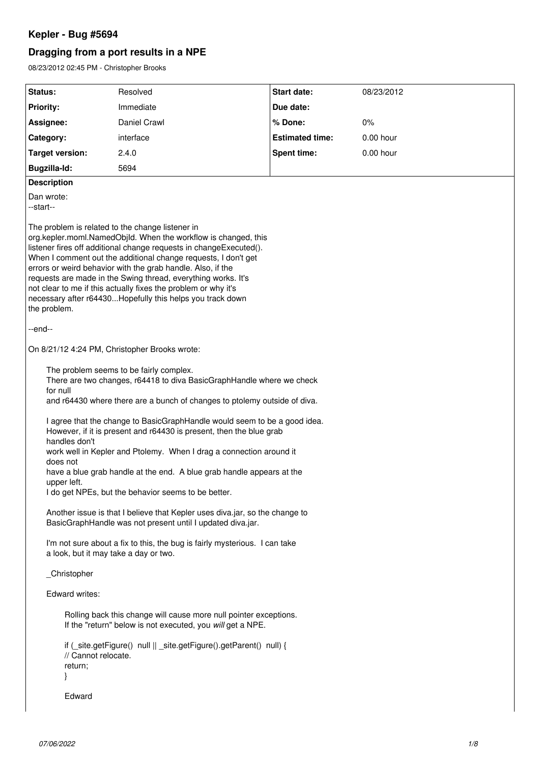# **Kepler - Bug #5694**

# **Dragging from a port results in a NPE**

08/23/2012 02:45 PM - Christopher Brooks

| Status:                                                                                                                  | Resolved                                                                                                                                                                                                                                                                                                                                                                                                                                                                                                                                                                                                                                                                                                                                                                                                                                                                                                                                                                                                                               | Start date:            | 08/23/2012 |
|--------------------------------------------------------------------------------------------------------------------------|----------------------------------------------------------------------------------------------------------------------------------------------------------------------------------------------------------------------------------------------------------------------------------------------------------------------------------------------------------------------------------------------------------------------------------------------------------------------------------------------------------------------------------------------------------------------------------------------------------------------------------------------------------------------------------------------------------------------------------------------------------------------------------------------------------------------------------------------------------------------------------------------------------------------------------------------------------------------------------------------------------------------------------------|------------------------|------------|
| <b>Priority:</b>                                                                                                         | Immediate                                                                                                                                                                                                                                                                                                                                                                                                                                                                                                                                                                                                                                                                                                                                                                                                                                                                                                                                                                                                                              | Due date:              |            |
| Assignee:                                                                                                                | Daniel Crawl                                                                                                                                                                                                                                                                                                                                                                                                                                                                                                                                                                                                                                                                                                                                                                                                                                                                                                                                                                                                                           | % Done:                | 0%         |
| Category:                                                                                                                | interface                                                                                                                                                                                                                                                                                                                                                                                                                                                                                                                                                                                                                                                                                                                                                                                                                                                                                                                                                                                                                              | <b>Estimated time:</b> | 0.00 hour  |
| <b>Target version:</b>                                                                                                   | 2.4.0                                                                                                                                                                                                                                                                                                                                                                                                                                                                                                                                                                                                                                                                                                                                                                                                                                                                                                                                                                                                                                  | <b>Spent time:</b>     | 0.00 hour  |
| Bugzilla-Id:                                                                                                             | 5694                                                                                                                                                                                                                                                                                                                                                                                                                                                                                                                                                                                                                                                                                                                                                                                                                                                                                                                                                                                                                                   |                        |            |
| <b>Description</b>                                                                                                       |                                                                                                                                                                                                                                                                                                                                                                                                                                                                                                                                                                                                                                                                                                                                                                                                                                                                                                                                                                                                                                        |                        |            |
| Dan wrote:<br>--start--                                                                                                  |                                                                                                                                                                                                                                                                                                                                                                                                                                                                                                                                                                                                                                                                                                                                                                                                                                                                                                                                                                                                                                        |                        |            |
| the problem.                                                                                                             | The problem is related to the change listener in<br>org.kepler.moml.NamedObjld. When the workflow is changed, this<br>listener fires off additional change requests in changeExecuted().<br>When I comment out the additional change requests, I don't get<br>errors or weird behavior with the grab handle. Also, if the<br>requests are made in the Swing thread, everything works. It's<br>not clear to me if this actually fixes the problem or why it's<br>necessary after r64430Hopefully this helps you track down                                                                                                                                                                                                                                                                                                                                                                                                                                                                                                              |                        |            |
| --end--                                                                                                                  |                                                                                                                                                                                                                                                                                                                                                                                                                                                                                                                                                                                                                                                                                                                                                                                                                                                                                                                                                                                                                                        |                        |            |
|                                                                                                                          | On 8/21/12 4:24 PM, Christopher Brooks wrote:                                                                                                                                                                                                                                                                                                                                                                                                                                                                                                                                                                                                                                                                                                                                                                                                                                                                                                                                                                                          |                        |            |
| for null<br>handles don't<br>does not<br>upper left.<br>_Christopher<br>Edward writes:<br>// Cannot relocate.<br>return; | The problem seems to be fairly complex.<br>There are two changes, r64418 to diva BasicGraphHandle where we check<br>and r64430 where there are a bunch of changes to ptolemy outside of diva.<br>I agree that the change to BasicGraphHandle would seem to be a good idea.<br>However, if it is present and r64430 is present, then the blue grab<br>work well in Kepler and Ptolemy. When I drag a connection around it<br>have a blue grab handle at the end. A blue grab handle appears at the<br>I do get NPEs, but the behavior seems to be better.<br>Another issue is that I believe that Kepler uses diva.jar, so the change to<br>BasicGraphHandle was not present until I updated diva.jar.<br>I'm not sure about a fix to this, the bug is fairly mysterious. I can take<br>a look, but it may take a day or two.<br>Rolling back this change will cause more null pointer exceptions.<br>If the "return" below is not executed, you will get a NPE.<br>if (_site.getFigure() null    _site.getFigure().getParent() null) { |                        |            |
| Edward                                                                                                                   |                                                                                                                                                                                                                                                                                                                                                                                                                                                                                                                                                                                                                                                                                                                                                                                                                                                                                                                                                                                                                                        |                        |            |
|                                                                                                                          |                                                                                                                                                                                                                                                                                                                                                                                                                                                                                                                                                                                                                                                                                                                                                                                                                                                                                                                                                                                                                                        |                        |            |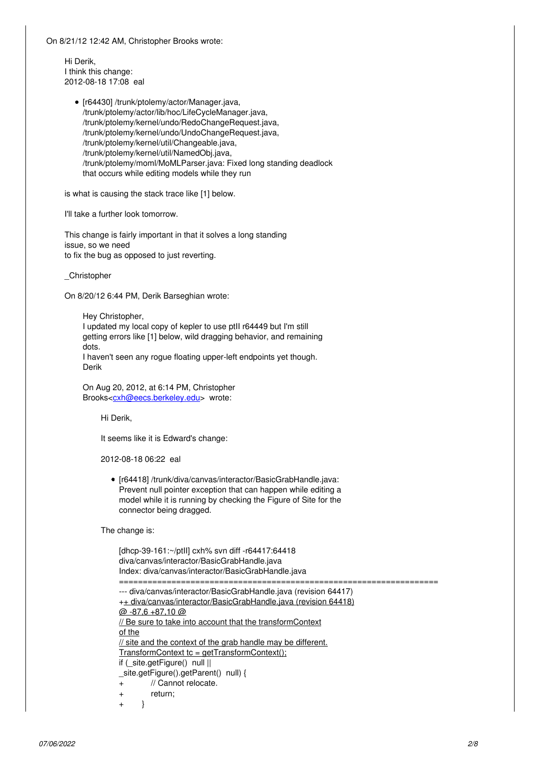On 8/21/12 12:42 AM, Christopher Brooks wrote:

Hi Derik, I think this change: 2012-08-18 17:08 eal

> • [r64430] /trunk/ptolemy/actor/Manager.java, /trunk/ptolemy/actor/lib/hoc/LifeCycleManager.java, /trunk/ptolemy/kernel/undo/RedoChangeRequest.java, /trunk/ptolemy/kernel/undo/UndoChangeRequest.java, /trunk/ptolemy/kernel/util/Changeable.java, /trunk/ptolemy/kernel/util/NamedObj.java, /trunk/ptolemy/moml/MoMLParser.java: Fixed long standing deadlock that occurs while editing models while they run

is what is causing the stack trace like [1] below.

I'll take a further look tomorrow.

This change is fairly important in that it solves a long standing issue, so we need to fix the bug as opposed to just reverting.

\_Christopher

On 8/20/12 6:44 PM, Derik Barseghian wrote:

Hey Christopher, I updated my local copy of kepler to use ptII r64449 but I'm still getting errors like [1] below, wild dragging behavior, and remaining dots.

I haven't seen any rogue floating upper-left endpoints yet though. Derik

On Aug 20, 2012, at 6:14 PM, Christopher Brooks[<cxh@eecs.berkeley.edu>](mailto:cxh@eecs.berkeley.edu) wrote:

Hi Derik,

It seems like it is Edward's change:

2012-08-18 06:22 eal

[r64418] /trunk/diva/canvas/interactor/BasicGrabHandle.java: Prevent null pointer exception that can happen while editing a model while it is running by checking the Figure of Site for the connector being dragged.

The change is:

[dhcp-39-161:~/ptII] cxh% svn diff -r64417:64418 diva/canvas/interactor/BasicGrabHandle.java Index: diva/canvas/interactor/BasicGrabHandle.java =================================================================== --- diva/canvas/interactor/BasicGrabHandle.java (revision 64417) ++ diva/canvas/interactor/BasicGrabHandle.java (revision 64418)  $@ -87.6 +87.10 @$ // Be sure to take into account that the transformContext of the // site and the context of the grab handle may be different. TransformContext tc = getTransformContext(); if (\_site.getFigure() null || \_site.getFigure().getParent() null) { + // Cannot relocate. + return; + }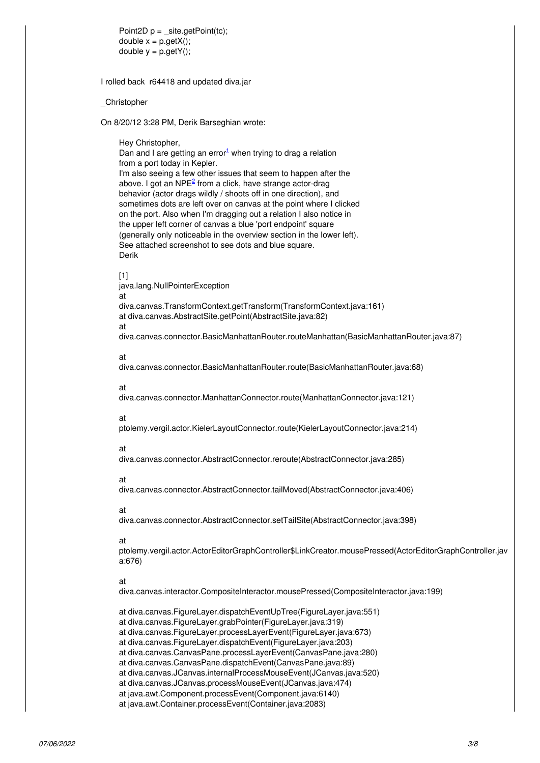Point2D  $p =$  \_site.getPoint(tc); double  $x = p.getX()$ ; double  $y = p.getY()$ ;

I rolled back r64418 and updated diva.jar

\_Christopher

On 8/20/12 3:28 PM, Derik Barseghian wrote:

Hey Christopher,

Dan and I are getting an error $1$  when trying to drag a relation from a port today in Kepler. I'm also seeing a few other issues that seem to happen after the above. I got an NPE<sup>[2](#page--1-0)</sup> from a click, have strange actor-drag behavior (actor drags wildly / shoots off in one direction), and sometimes dots are left over on canvas at the point where I clicked on the port. Also when I'm dragging out a relation I also notice in the upper left corner of canvas a blue 'port endpoint' square (generally only noticeable in the overview section in the lower left). See attached screenshot to see dots and blue square. Derik

#### [1]

java.lang.NullPointerException at diva.canvas.TransformContext.getTransform(TransformContext.java:161) at diva.canvas.AbstractSite.getPoint(AbstractSite.java:82) at diva.canvas.connector.BasicManhattanRouter.routeManhattan(BasicManhattanRouter.java:87)

# at

diva.canvas.connector.BasicManhattanRouter.route(BasicManhattanRouter.java:68)

#### at

diva.canvas.connector.ManhattanConnector.route(ManhattanConnector.java:121)

#### at

ptolemy.vergil.actor.KielerLayoutConnector.route(KielerLayoutConnector.java:214)

## at

diva.canvas.connector.AbstractConnector.reroute(AbstractConnector.java:285)

## at

diva.canvas.connector.AbstractConnector.tailMoved(AbstractConnector.java:406)

# at

diva.canvas.connector.AbstractConnector.setTailSite(AbstractConnector.java:398)

## at

ptolemy.vergil.actor.ActorEditorGraphController\$LinkCreator.mousePressed(ActorEditorGraphController.jav a:676)

#### at

diva.canvas.interactor.CompositeInteractor.mousePressed(CompositeInteractor.java:199)

at diva.canvas.FigureLayer.dispatchEventUpTree(FigureLayer.java:551)

at diva.canvas.FigureLayer.grabPointer(FigureLayer.java:319)

at diva.canvas.FigureLayer.processLayerEvent(FigureLayer.java:673)

at diva.canvas.FigureLayer.dispatchEvent(FigureLayer.java:203)

at diva.canvas.CanvasPane.processLayerEvent(CanvasPane.java:280)

at diva.canvas.CanvasPane.dispatchEvent(CanvasPane.java:89)

at diva.canvas.JCanvas.internalProcessMouseEvent(JCanvas.java:520)

at diva.canvas.JCanvas.processMouseEvent(JCanvas.java:474)

at java.awt.Component.processEvent(Component.java:6140)

at java.awt.Container.processEvent(Container.java:2083)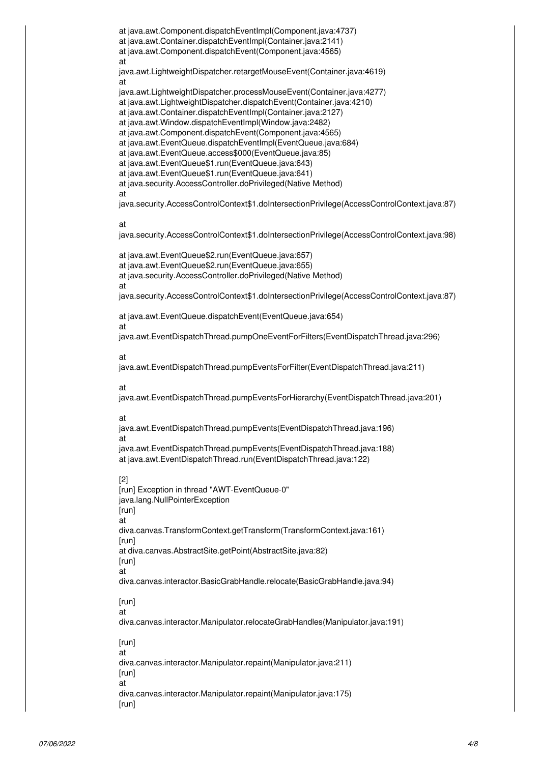at java.awt.Component.dispatchEventImpl(Component.java:4737) at java.awt.Container.dispatchEventImpl(Container.java:2141) at java.awt.Component.dispatchEvent(Component.java:4565) at java.awt.LightweightDispatcher.retargetMouseEvent(Container.java:4619) at java.awt.LightweightDispatcher.processMouseEvent(Container.java:4277) at java.awt.LightweightDispatcher.dispatchEvent(Container.java:4210) at java.awt.Container.dispatchEventImpl(Container.java:2127) at java.awt.Window.dispatchEventImpl(Window.java:2482) at java.awt.Component.dispatchEvent(Component.java:4565) at java.awt.EventQueue.dispatchEventImpl(EventQueue.java:684) at java.awt.EventQueue.access\$000(EventQueue.java:85) at java.awt.EventQueue\$1.run(EventQueue.java:643) at java.awt.EventQueue\$1.run(EventQueue.java:641) at java.security.AccessController.doPrivileged(Native Method) at java.security.AccessControlContext\$1.doIntersectionPrivilege(AccessControlContext.java:87) at java.security.AccessControlContext\$1.doIntersectionPrivilege(AccessControlContext.java:98) at java.awt.EventQueue\$2.run(EventQueue.java:657) at java.awt.EventQueue\$2.run(EventQueue.java:655) at java.security.AccessController.doPrivileged(Native Method) at java.security.AccessControlContext\$1.doIntersectionPrivilege(AccessControlContext.java:87) at java.awt.EventQueue.dispatchEvent(EventQueue.java:654) at java.awt.EventDispatchThread.pumpOneEventForFilters(EventDispatchThread.java:296) at java.awt.EventDispatchThread.pumpEventsForFilter(EventDispatchThread.java:211) at java.awt.EventDispatchThread.pumpEventsForHierarchy(EventDispatchThread.java:201) at java.awt.EventDispatchThread.pumpEvents(EventDispatchThread.java:196) at java.awt.EventDispatchThread.pumpEvents(EventDispatchThread.java:188) at java.awt.EventDispatchThread.run(EventDispatchThread.java:122) [2] [run] Exception in thread "AWT-EventQueue-0" java.lang.NullPointerException [run]

at

diva.canvas.TransformContext.getTransform(TransformContext.java:161) [run] at diva.canvas.AbstractSite.getPoint(AbstractSite.java:82) [run] at diva.canvas.interactor.BasicGrabHandle.relocate(BasicGrabHandle.java:94) [run]

at

diva.canvas.interactor.Manipulator.relocateGrabHandles(Manipulator.java:191)

# [run] at

diva.canvas.interactor.Manipulator.repaint(Manipulator.java:211) [run] at diva.canvas.interactor.Manipulator.repaint(Manipulator.java:175) [run]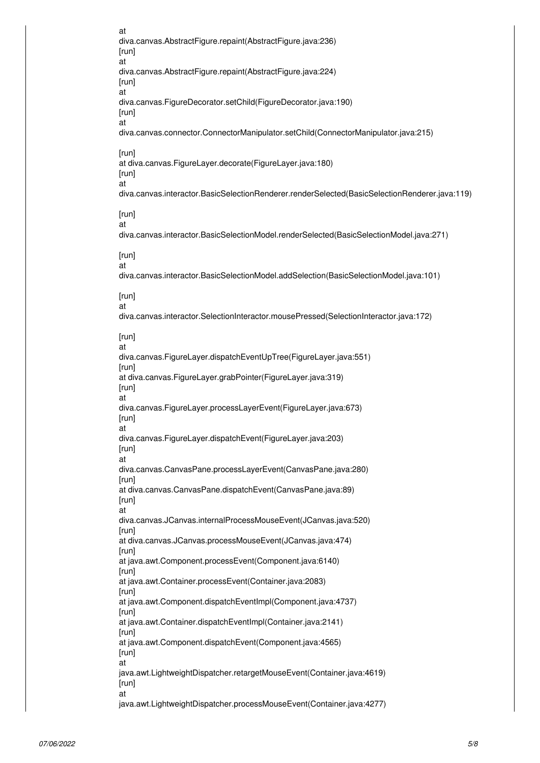at diva.canvas.AbstractFigure.repaint(AbstractFigure.java:236) [run] at diva.canvas.AbstractFigure.repaint(AbstractFigure.java:224) [run] at diva.canvas.FigureDecorator.setChild(FigureDecorator.java:190) [run] at diva.canvas.connector.ConnectorManipulator.setChild(ConnectorManipulator.java:215) [run] at diva.canvas.FigureLayer.decorate(FigureLayer.java:180) [run] at diva.canvas.interactor.BasicSelectionRenderer.renderSelected(BasicSelectionRenderer.java:119) [run] at diva.canvas.interactor.BasicSelectionModel.renderSelected(BasicSelectionModel.java:271) [run] at diva.canvas.interactor.BasicSelectionModel.addSelection(BasicSelectionModel.java:101) [run] at diva.canvas.interactor.SelectionInteractor.mousePressed(SelectionInteractor.java:172) [run] at diva.canvas.FigureLayer.dispatchEventUpTree(FigureLayer.java:551) [run] at diva.canvas.FigureLayer.grabPointer(FigureLayer.java:319) [run] at diva.canvas.FigureLayer.processLayerEvent(FigureLayer.java:673) [run] at diva.canvas.FigureLayer.dispatchEvent(FigureLayer.java:203) [run] at diva.canvas.CanvasPane.processLayerEvent(CanvasPane.java:280) [run] at diva.canvas.CanvasPane.dispatchEvent(CanvasPane.java:89) [run] at diva.canvas.JCanvas.internalProcessMouseEvent(JCanvas.java:520) [run] at diva.canvas.JCanvas.processMouseEvent(JCanvas.java:474) [run] at java.awt.Component.processEvent(Component.java:6140) [run] at java.awt.Container.processEvent(Container.java:2083) [run] at java.awt.Component.dispatchEventImpl(Component.java:4737) [run] at java.awt.Container.dispatchEventImpl(Container.java:2141) [run] at java.awt.Component.dispatchEvent(Component.java:4565) [run] at java.awt.LightweightDispatcher.retargetMouseEvent(Container.java:4619) [run] at java.awt.LightweightDispatcher.processMouseEvent(Container.java:4277)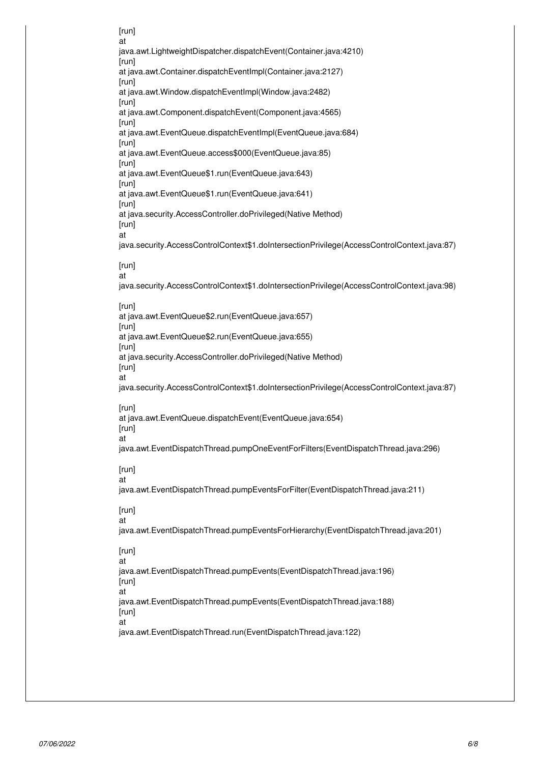[run] at java.awt.LightweightDispatcher.dispatchEvent(Container.java:4210) [run] at java.awt.Container.dispatchEventImpl(Container.java:2127) [run] at java.awt.Window.dispatchEventImpl(Window.java:2482) [run] at java.awt.Component.dispatchEvent(Component.java:4565) [run] at java.awt.EventQueue.dispatchEventImpl(EventQueue.java:684) [run] at java.awt.EventQueue.access\$000(EventQueue.java:85) [run] at java.awt.EventQueue\$1.run(EventQueue.java:643) [run] at java.awt.EventQueue\$1.run(EventQueue.java:641) [run] at java.security.AccessController.doPrivileged(Native Method) [run] at java.security.AccessControlContext\$1.doIntersectionPrivilege(AccessControlContext.java:87) [run] at java.security.AccessControlContext\$1.doIntersectionPrivilege(AccessControlContext.java:98) [run] at java.awt.EventQueue\$2.run(EventQueue.java:657) [run] at java.awt.EventQueue\$2.run(EventQueue.java:655) [run] at java.security.AccessController.doPrivileged(Native Method) [run] at java.security.AccessControlContext\$1.doIntersectionPrivilege(AccessControlContext.java:87) [run] at java.awt.EventQueue.dispatchEvent(EventQueue.java:654) [run] at java.awt.EventDispatchThread.pumpOneEventForFilters(EventDispatchThread.java:296) [run] at java.awt.EventDispatchThread.pumpEventsForFilter(EventDispatchThread.java:211) [run] at java.awt.EventDispatchThread.pumpEventsForHierarchy(EventDispatchThread.java:201) [run] at java.awt.EventDispatchThread.pumpEvents(EventDispatchThread.java:196) [run] at java.awt.EventDispatchThread.pumpEvents(EventDispatchThread.java:188) [run] at java.awt.EventDispatchThread.run(EventDispatchThread.java:122)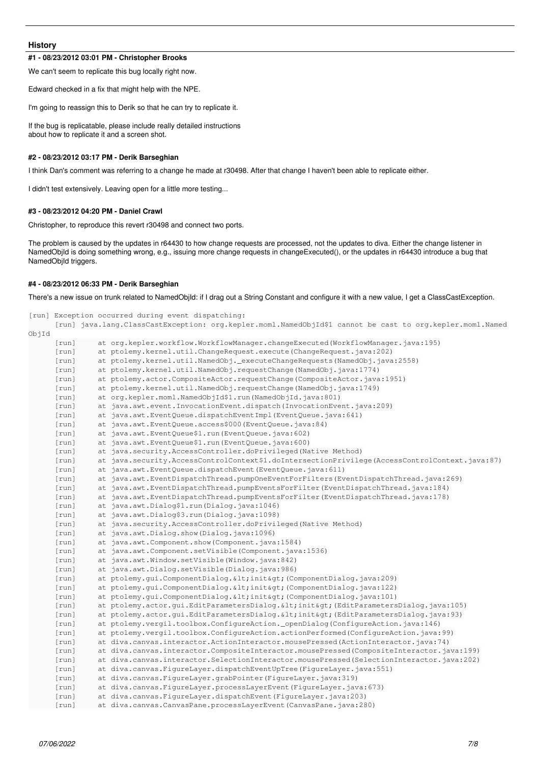### **History**

#### **#1 - 08/23/2012 03:01 PM - Christopher Brooks**

We can't seem to replicate this bug locally right now.

Edward checked in a fix that might help with the NPE.

I'm going to reassign this to Derik so that he can try to replicate it.

If the bug is replicatable, please include really detailed instructions about how to replicate it and a screen shot.

## **#2 - 08/23/2012 03:17 PM - Derik Barseghian**

I think Dan's comment was referring to a change he made at r30498. After that change I haven't been able to replicate either.

I didn't test extensively. Leaving open for a little more testing...

#### **#3 - 08/23/2012 04:20 PM - Daniel Crawl**

Christopher, to reproduce this revert r30498 and connect two ports.

The problem is caused by the updates in r64430 to how change requests are processed, not the updates to diva. Either the change listener in NamedObjId is doing something wrong, e.g., issuing more change requests in changeExecuted(), or the updates in r64430 introduce a bug that NamedObjId triggers.

# **#4 - 08/23/2012 06:33 PM - Derik Barseghian**

There's a new issue on trunk related to NamedObjId: if I drag out a String Constant and configure it with a new value, I get a ClassCastException.

|       |                                  | [run] Exception occurred during event dispatching:                                                                                                                                                                               |
|-------|----------------------------------|----------------------------------------------------------------------------------------------------------------------------------------------------------------------------------------------------------------------------------|
| ObjId |                                  | [run] java.lang.ClassCastException: org.kepler.moml.NamedObjId\$1 cannot be cast to org.kepler.moml.Named                                                                                                                        |
|       | $[\text{run}]$                   | at org.kepler.workflow.WorkflowManager.changeExecuted(WorkflowManager.java:195)                                                                                                                                                  |
|       | $[\text{run}]$                   | at ptolemy.kernel.util.ChangeRequest.execute(ChangeRequest.java:202)                                                                                                                                                             |
|       | [run]                            | at ptolemy.kernel.util.NamedObj._executeChangeRequests(NamedObj.java:2558)                                                                                                                                                       |
|       | $[\text{run}]$                   | at ptolemy.kernel.util.NamedObj.requestChange(NamedObj.java:1774)                                                                                                                                                                |
|       | $[\text{run}]$                   | at ptolemy.actor.CompositeActor.requestChange(CompositeActor.java:1951)                                                                                                                                                          |
|       | $[\text{run}]$                   | at ptolemy.kernel.util.NamedObj.requestChange(NamedObj.java:1749)                                                                                                                                                                |
|       | $[\text{run}]$                   | at org.kepler.moml.NamedObjId\$1.run(NamedObjId.java:801)                                                                                                                                                                        |
|       | $[\text{run}]$                   | at java.awt.event.InvocationEvent.dispatch(InvocationEvent.java:209)                                                                                                                                                             |
|       | $[\text{run}]$                   | at java.awt.EventQueue.dispatchEventImpl(EventQueue.java:641)                                                                                                                                                                    |
|       | [run]                            | at java.awt.EventOueue.access\$000(EventOueue.java:84)                                                                                                                                                                           |
|       | $[\text{run}]$                   | at java.awt.EventQueue\$1.run(EventQueue.java:602)                                                                                                                                                                               |
|       | $[\text{run}]$                   | at java.awt.EventQueue\$1.run(EventQueue.java:600)                                                                                                                                                                               |
|       | $[\text{run}]$                   | at java.security.AccessController.doPrivileged (Native Method)                                                                                                                                                                   |
|       | $[\text{run}]$                   | at java.security.AccessControlContext\$1.doIntersectionPrivilege(AccessControlContext.java:87)                                                                                                                                   |
|       | $[\text{run}]$                   | at java.awt.EventQueue.dispatchEvent(EventQueue.java:611)                                                                                                                                                                        |
|       | $[\text{run}]$                   | at java.awt.EventDispatchThread.pumpOneEventForFilters(EventDispatchThread.java:269)                                                                                                                                             |
|       | $[\text{run}]$                   | at java.awt.EventDispatchThread.pumpEventsForFilter(EventDispatchThread.java:184)                                                                                                                                                |
|       | $[\text{run}]$                   | at java.awt.EventDispatchThread.pumpEventsForFilter(EventDispatchThread.java:178)                                                                                                                                                |
|       | $[\text{run}]$                   | at java.awt.Dialog\$1.run(Dialog.java:1046)                                                                                                                                                                                      |
|       | $[\text{run}]$                   | at java.awt.Dialog\$3.run(Dialog.java:1098)                                                                                                                                                                                      |
|       | $[\text{run}]$                   | at java.security.AccessController.doPrivileged(Native Method)                                                                                                                                                                    |
|       | $[\text{run}]$                   | at java.awt.Dialog.show(Dialog.java:1096)                                                                                                                                                                                        |
|       | $[\text{run}]$                   | at java.awt.Component.show(Component.java:1584)                                                                                                                                                                                  |
|       | $[\text{run}]$                   | at java.awt.Component.setVisible(Component.java:1536)                                                                                                                                                                            |
|       | $[\text{run}]$                   | at java.awt.Window.setVisible(Window.java:842)                                                                                                                                                                                   |
|       | $[\text{run}]$                   | at java.awt.Dialog.setVisible(Dialog.java:986)                                                                                                                                                                                   |
|       |                                  | at ptolemy.qui.ComponentDialog. <init&qt; (componentdialog.java:209)<="" td=""></init&qt;>                                                                                                                                       |
|       | $[\text{run}]$                   | at ptolemy.qui.ComponentDialog. <init&qt; (componentdialog.java:122)<="" td=""></init&qt;>                                                                                                                                       |
|       | $[\text{run}]$<br>$[\text{run}]$ |                                                                                                                                                                                                                                  |
|       |                                  | at ptolemy.qui.ComponentDialog. <init> (ComponentDialog.java:101)</init>                                                                                                                                                         |
|       | $[\text{run}]$                   | at ptolemy.actor.gui.EditParametersDialog. <init> (EditParametersDialog.java:105)<br/>at ptolemy.actor.qui.EditParametersDialoq.<init&qt;(editparametersdialoq.java:93)< td=""></init&qt;(editparametersdialoq.java:93)<></init> |
|       | $[\text{run}]$                   | at ptolemy.vergil.toolbox.ConfigureAction._openDialog(ConfigureAction.java:146)                                                                                                                                                  |
|       | $[\text{run}]$                   |                                                                                                                                                                                                                                  |
|       | $[\text{run}]$                   | at ptolemy.vergil.toolbox.ConfigureAction.actionPerformed(ConfigureAction.java:99)                                                                                                                                               |
|       | $[\text{run}]$                   | at diva.canvas.interactor.ActionInteractor.mousePressed(ActionInteractor.java:74)                                                                                                                                                |
|       | $[\text{run}]$                   | at diva.canvas.interactor.CompositeInteractor.mousePressed(CompositeInteractor.java:199)                                                                                                                                         |
|       | $[\text{run}]$                   | at diva.canvas.interactor.SelectionInteractor.mousePressed(SelectionInteractor.java:202)                                                                                                                                         |
|       | $[\text{run}]$                   | at diva.canvas.FigureLayer.dispatchEventUpTree(FigureLayer.java:551)                                                                                                                                                             |
|       | $[\text{run}]$                   | at diva.canvas.FiqureLayer.grabPointer(FiqureLayer.java:319)                                                                                                                                                                     |
|       | $[\text{run}]$                   | at diva.canvas.FigureLayer.processLayerEvent (FigureLayer.java: 673)                                                                                                                                                             |
|       | [run]                            | at diva.canvas.FiqureLayer.dispatchEvent(FiqureLayer.java:203)                                                                                                                                                                   |
|       | $[\text{run}]$                   | at diva.canvas.CanvasPane.processLayerEvent (CanvasPane.java:280)                                                                                                                                                                |